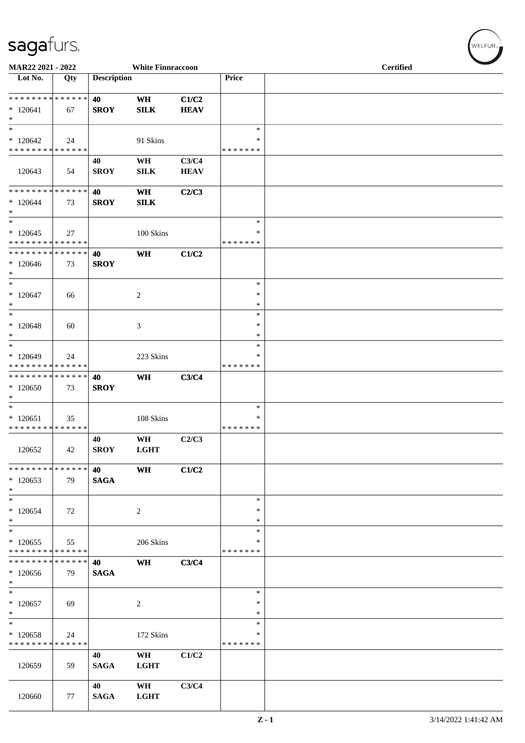| MAR22 2021 - 2022                                  |                   |                    | <b>White Finnraccoon</b> |                      |                                   | <b>Certified</b> |  |  |  |
|----------------------------------------------------|-------------------|--------------------|--------------------------|----------------------|-----------------------------------|------------------|--|--|--|
| Lot No.                                            | Qty               | <b>Description</b> |                          |                      | Price                             |                  |  |  |  |
| * * * * * * * * * * * * * *<br>$*120641$<br>$*$    | 67                | 40<br><b>SROY</b>  | <b>WH</b><br><b>SILK</b> | C1/C2<br><b>HEAV</b> |                                   |                  |  |  |  |
| $\ast$<br>$*120642$<br>* * * * * * * * * * * * * * | 24                |                    | 91 Skins                 |                      | $\ast$<br>$\ast$<br>* * * * * * * |                  |  |  |  |
| 120643                                             | 54                | 40<br><b>SROY</b>  | WH<br><b>SILK</b>        | C3/C4<br><b>HEAV</b> |                                   |                  |  |  |  |
| * * * * * * * * * * * * * *<br>$*120644$<br>$*$    | 73                | 40<br><b>SROY</b>  | <b>WH</b><br><b>SILK</b> | C2/C3                |                                   |                  |  |  |  |
| $*$<br>$*120645$<br>* * * * * * * * * * * * * *    | 27                |                    | 100 Skins                |                      | $\ast$<br>∗<br>* * * * * * *      |                  |  |  |  |
| ******** <mark>******</mark><br>$*120646$<br>$*$   | 73                | 40<br><b>SROY</b>  | <b>WH</b>                | C1/C2                |                                   |                  |  |  |  |
| $*$<br>$*120647$<br>$\ast$                         | 66                |                    | $\overline{c}$           |                      | $\ast$<br>$\ast$<br>$\ast$        |                  |  |  |  |
| $*$<br>$*120648$<br>$\ast$                         | 60                |                    | 3                        |                      | $\ast$<br>$\ast$<br>$\ast$        |                  |  |  |  |
| $\ast$<br>$*120649$<br>* * * * * * * * * * * * * * | 24                |                    | 223 Skins                |                      | $\ast$<br>∗<br>* * * * * * *      |                  |  |  |  |
| * * * * * * * * * * * * * *<br>$*120650$<br>$\ast$ | 73                | 40<br><b>SROY</b>  | <b>WH</b>                | C3/C4                |                                   |                  |  |  |  |
| $*$<br>$*120651$<br>* * * * * * * * * * * * * *    | 35                |                    | 108 Skins                |                      | ∗<br>∗<br>* * * * * * *           |                  |  |  |  |
| 120652                                             | 42                | 40<br><b>SROY</b>  | WH<br><b>LGHT</b>        | C2/C3                |                                   |                  |  |  |  |
| * * * * * * * * * * * * * *<br>$*120653$<br>$*$    | 79                | 40<br><b>SAGA</b>  | WH                       | C1/C2                |                                   |                  |  |  |  |
| $*$<br>$*120654$<br>$*$                            | 72                |                    | $\overline{c}$           |                      | $\ast$<br>$\ast$<br>$\ast$        |                  |  |  |  |
| $*$<br>$*120655$<br>* * * * * * * * * * * * * *    | 55                |                    | 206 Skins                |                      | $\ast$<br>∗<br>* * * * * * *      |                  |  |  |  |
| * * * * * * * * * * * * * *<br>$*120656$<br>$\ast$ | 79                | 40<br><b>SAGA</b>  | <b>WH</b>                | C3/C4                |                                   |                  |  |  |  |
| $*$<br>$*120657$<br>$\ast$                         | 69                |                    | 2                        |                      | ∗<br>∗<br>$\ast$                  |                  |  |  |  |
| $\ast$<br>$*120658$<br>* * * * * * * *             | 24<br>* * * * * * |                    | 172 Skins                |                      | $\ast$<br>∗<br>* * * * * * *      |                  |  |  |  |
| 120659                                             | 59                | 40<br><b>SAGA</b>  | WH<br><b>LGHT</b>        | C1/C2                |                                   |                  |  |  |  |
| 120660                                             | 77                | 40<br><b>SAGA</b>  | WH<br><b>LGHT</b>        | C3/C4                |                                   |                  |  |  |  |

 $(w$ elfur $_{\approx}$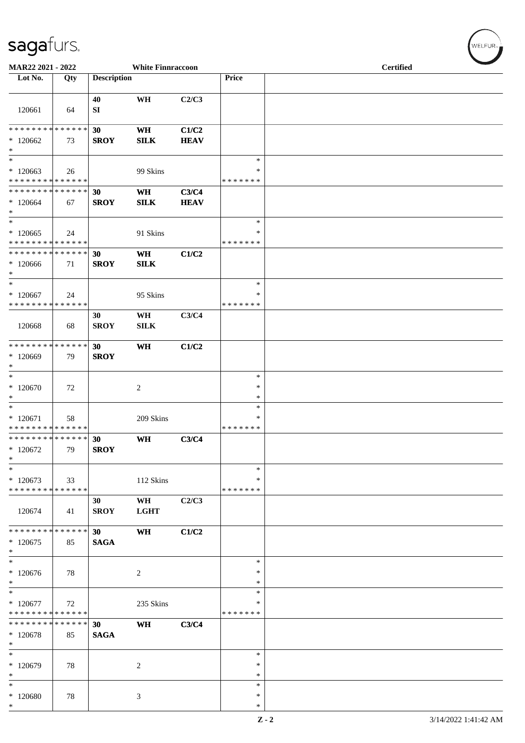| MAR22 2021 - 2022                                        |     |                                | <b>White Finnraccoon</b> |                      |                              | <b>Certified</b> |  |  |  |
|----------------------------------------------------------|-----|--------------------------------|--------------------------|----------------------|------------------------------|------------------|--|--|--|
| Lot No.                                                  | Qty | <b>Description</b>             |                          |                      | Price                        |                  |  |  |  |
| 120661                                                   | 64  | 40<br>SI                       | WH                       | C2/C3                |                              |                  |  |  |  |
| ******** <mark>******</mark><br>$*120662$<br>$*$         | 73  | 30<br><b>SROY</b>              | <b>WH</b><br><b>SILK</b> | C1/C2<br><b>HEAV</b> |                              |                  |  |  |  |
| $*$<br>$*120663$<br>* * * * * * * * * * * * * *          | 26  |                                | 99 Skins                 |                      | $\ast$<br>∗<br>* * * * * * * |                  |  |  |  |
| * * * * * * * * * * * * * *<br>$*120664$<br>$\ast$       | 67  | 30<br><b>SROY</b>              | <b>WH</b><br><b>SILK</b> | C3/C4<br><b>HEAV</b> |                              |                  |  |  |  |
| $\ast$<br>$*120665$<br>* * * * * * * * * * * * * *       | 24  |                                | 91 Skins                 |                      | $\ast$<br>∗<br>* * * * * * * |                  |  |  |  |
| * * * * * * * * * * * * * * *<br>$*120666$<br>$*$<br>$*$ | 71  | 30<br><b>SROY</b>              | WH<br><b>SILK</b>        | C1/C2                | $\ast$                       |                  |  |  |  |
| $*120667$<br>* * * * * * * * * * * * * *                 | 24  | 30                             | 95 Skins                 | C3/C4                | ∗<br>* * * * * * *           |                  |  |  |  |
| 120668                                                   | 68  | <b>SROY</b>                    | WH<br>SILK               |                      |                              |                  |  |  |  |
| * * * * * * * * * * * * * * *<br>$*120669$<br>$*$        | 79  | 30<br><b>SROY</b>              | <b>WH</b>                | C1/C2                |                              |                  |  |  |  |
| $*$<br>$*120670$<br>$*$                                  | 72  |                                | $\overline{c}$           |                      | $\ast$<br>$\ast$<br>$\ast$   |                  |  |  |  |
| $\ast$<br>$*120671$<br>* * * * * * * * * * * * * *       | 58  |                                | 209 Skins                |                      | ∗<br>∗<br>* * * * * * *      |                  |  |  |  |
| * * * * * * * * * * * * * * *<br>$*120672$<br>$\ast$     | 79  | 30<br><b>SROY</b>              | WH                       | C3/C4                |                              |                  |  |  |  |
| $\ast$<br>$*120673$<br>* * * * * * * * * * * * * *       | 33  |                                | 112 Skins                |                      | $\ast$<br>∗<br>* * * * * * * |                  |  |  |  |
| 120674                                                   | 41  | 30<br><b>SROY</b>              | WH<br><b>LGHT</b>        | C2/C3                |                              |                  |  |  |  |
| * * * * * * * * * * * * * * *<br>$*120675$<br>$*$        | 85  | 30 <sup>7</sup><br><b>SAGA</b> | WH                       | C1/C2                |                              |                  |  |  |  |
| $\ast$<br>$*120676$<br>$*$                               | 78  |                                | $\overline{c}$           |                      | $\ast$<br>$\ast$<br>$\ast$   |                  |  |  |  |
| $\ast$<br>$*120677$<br>* * * * * * * * * * * * * *       | 72  |                                | 235 Skins                |                      | ∗<br>∗<br>* * * * * * *      |                  |  |  |  |
| * * * * * * * * * * * * * * *<br>* 120678<br>$\ast$      | 85  | 30<br><b>SAGA</b>              | WH                       | C3/C4                |                              |                  |  |  |  |
| $*$<br>$*120679$<br>$*$                                  | 78  |                                | 2                        |                      | $\ast$<br>$\ast$<br>*        |                  |  |  |  |
| $\ast$<br>$*120680$<br>$\ast$                            | 78  |                                | 3                        |                      | ∗<br>$\ast$<br>$\ast$        |                  |  |  |  |

 $(\forall ELFUR_{\text{max}})$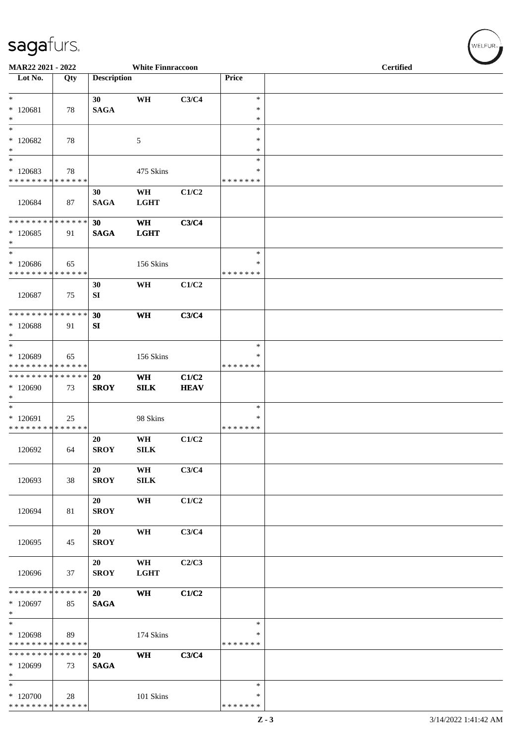| MAR22 2021 - 2022                                             |     |                                | <b>White Finnraccoon</b> |                      |                              | <b>Certified</b> |  |
|---------------------------------------------------------------|-----|--------------------------------|--------------------------|----------------------|------------------------------|------------------|--|
| Lot No.                                                       | Qty | <b>Description</b>             |                          |                      | Price                        |                  |  |
| $\ast$<br>$*120681$<br>$\ast$                                 | 78  | 30 <sup>°</sup><br><b>SAGA</b> | WH                       | C3/C4                | $\ast$<br>$\ast$<br>$\ast$   |                  |  |
| $\overline{\phantom{1}}$<br>$*120682$<br>$\ast$               | 78  |                                | $\mathfrak{S}$           |                      | $\ast$<br>$\ast$<br>$\ast$   |                  |  |
| $\ast$<br>$*120683$<br>* * * * * * * * * * * * * *            | 78  |                                | 475 Skins                |                      | $\ast$<br>*<br>* * * * * * * |                  |  |
| 120684                                                        | 87  | 30<br><b>SAGA</b>              | WH<br><b>LGHT</b>        | C1/C2                |                              |                  |  |
| ******** <mark>******</mark><br>$*120685$<br>$\ast$           | 91  | 30<br><b>SAGA</b>              | <b>WH</b><br><b>LGHT</b> | C3/C4                |                              |                  |  |
| $\ast$<br>$*120686$<br>* * * * * * * * * * * * * *            | 65  |                                | 156 Skins                |                      | $\ast$<br>*<br>* * * * * * * |                  |  |
| 120687                                                        | 75  | 30<br>SI                       | WH                       | C1/C2                |                              |                  |  |
| **************<br>* 120688<br>$\ast$                          | 91  | 30<br>SI                       | WH                       | C3/C4                |                              |                  |  |
| $\ast$<br>* 120689<br>* * * * * * * * * * * * * * *           | 65  |                                | 156 Skins                |                      | $\ast$<br>*<br>* * * * * * * |                  |  |
| **************<br>* 120690<br>$\ast$                          | 73  | 20<br><b>SROY</b>              | <b>WH</b><br>SILK        | C1/C2<br><b>HEAV</b> |                              |                  |  |
| $\ast$<br>$*120691$<br>* * * * * * * * * * * * * *            | 25  |                                | 98 Skins                 |                      | $\ast$<br>∗<br>* * * * * * * |                  |  |
| 120692                                                        | 64  | 20<br><b>SROY</b>              | WH<br><b>SILK</b>        | C1/C2                |                              |                  |  |
| 120693                                                        | 38  | 20<br><b>SROY</b>              | WH<br><b>SILK</b>        | C3/C4                |                              |                  |  |
| 120694                                                        | 81  | 20<br><b>SROY</b>              | WH                       | C1/C2                |                              |                  |  |
| 120695                                                        | 45  | 20<br><b>SROY</b>              | WH                       | C3/C4                |                              |                  |  |
| 120696                                                        | 37  | 20<br><b>SROY</b>              | WH<br><b>LGHT</b>        | C2/C3                |                              |                  |  |
| ******** <mark>******</mark><br>$*120697$<br>$\ast$           | 85  | 20<br><b>SAGA</b>              | WH                       | C1/C2                |                              |                  |  |
| $\ast$<br>* 120698<br>* * * * * * * * * * * * * *             | 89  |                                | 174 Skins                |                      | $\ast$<br>∗<br>* * * * * * * |                  |  |
| * * * * * * * * * * * * * *<br>* 120699<br>$\ast$             | 73  | <b>20</b><br><b>SAGA</b>       | WH                       | C3/C4                |                              |                  |  |
| $\overline{\ast}$<br>$*120700$<br>* * * * * * * * * * * * * * | 28  |                                | 101 Skins                |                      | $\ast$<br>∗<br>* * * * * * * |                  |  |

 $\left(\begin{smallmatrix} \mathsf{WELFLR}_{\mathbb{W}}\end{smallmatrix}\right)$